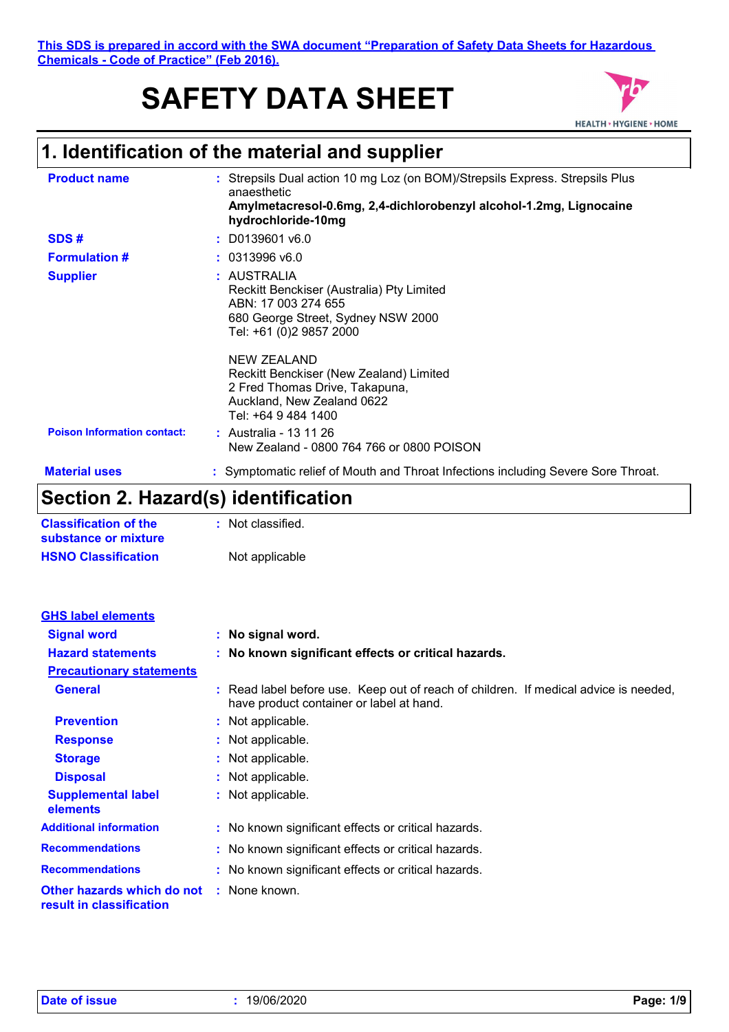**This SDS is prepared in accord with the SWA document "Preparation of Safety Data Sheets for Hazardous Chemicals - Code of Practice" (Feb 2016).**

# **SAFETY DATA SHEET**



# **1. Identification of the material and supplier**

| <b>Product name</b>                | : Strepsils Dual action 10 mg Loz (on BOM)/Strepsils Express. Strepsils Plus<br>anaesthetic<br>Amylmetacresol-0.6mg, 2,4-dichlorobenzyl alcohol-1.2mg, Lignocaine<br>hydrochloride-10mg                                                                                                           |
|------------------------------------|---------------------------------------------------------------------------------------------------------------------------------------------------------------------------------------------------------------------------------------------------------------------------------------------------|
| SDS#                               | $:$ D0139601 v6.0                                                                                                                                                                                                                                                                                 |
| <b>Formulation #</b>               | : 0313996 v6.0                                                                                                                                                                                                                                                                                    |
| <b>Supplier</b>                    | : AUSTRALIA<br>Reckitt Benckiser (Australia) Pty Limited<br>ABN: 17 003 274 655<br>680 George Street, Sydney NSW 2000<br>Tel: +61 (0)2 9857 2000<br>NEW ZEALAND<br>Reckitt Benckiser (New Zealand) Limited<br>2 Fred Thomas Drive, Takapuna,<br>Auckland, New Zealand 0622<br>Tel: +64 9 484 1400 |
| <b>Poison Information contact:</b> | : Australia - 13 11 26<br>New Zealand - 0800 764 766 or 0800 POISON                                                                                                                                                                                                                               |
| <b>Material uses</b>               | : Symptomatic relief of Mouth and Throat Infections including Severe Sore Throat.                                                                                                                                                                                                                 |

### **Section 2. Hazard(s) identification**

| <b>Classification of the</b> | : Not classified. |
|------------------------------|-------------------|
| substance or mixture         |                   |
| <b>HSNO Classification</b>   | Not applicable    |

| <b>GHS label elements</b>                              |                                                                                                                                  |
|--------------------------------------------------------|----------------------------------------------------------------------------------------------------------------------------------|
| <b>Signal word</b>                                     | : No signal word.                                                                                                                |
| <b>Hazard statements</b>                               | : No known significant effects or critical hazards.                                                                              |
| <b>Precautionary statements</b>                        |                                                                                                                                  |
| <b>General</b>                                         | : Read label before use. Keep out of reach of children. If medical advice is needed,<br>have product container or label at hand. |
| <b>Prevention</b>                                      | : Not applicable.                                                                                                                |
| <b>Response</b>                                        | : Not applicable.                                                                                                                |
| <b>Storage</b>                                         | : Not applicable.                                                                                                                |
| <b>Disposal</b>                                        | : Not applicable.                                                                                                                |
| <b>Supplemental label</b><br>elements                  | : Not applicable.                                                                                                                |
| <b>Additional information</b>                          | : No known significant effects or critical hazards.                                                                              |
| <b>Recommendations</b>                                 | : No known significant effects or critical hazards.                                                                              |
| <b>Recommendations</b>                                 | : No known significant effects or critical hazards.                                                                              |
| Other hazards which do not<br>result in classification | : None known.                                                                                                                    |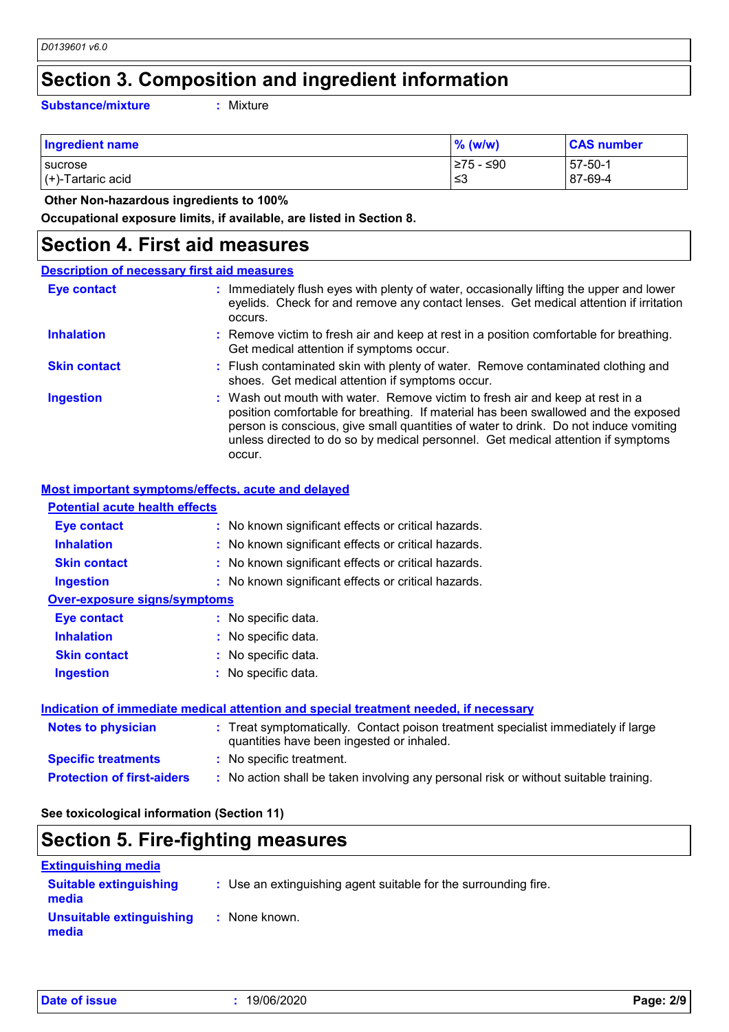### **Section 3. Composition and ingredient information**

**Substance/mixture :**

Mixture

| Ingredient name                          | $%$ (w/w)        | <b>CAS number</b>         |
|------------------------------------------|------------------|---------------------------|
| <b>I</b> sucrose<br>$(+)$ -Tartaric acid | l≥75 - ≤90<br>ב≥ | $157 - 50 - 1$<br>87-69-4 |
|                                          |                  |                           |

 **Other Non-hazardous ingredients to 100%**

**Occupational exposure limits, if available, are listed in Section 8.**

#### **Section 4. First aid measures**

#### Wash out mouth with water. Remove victim to fresh air and keep at rest in a position comfortable for breathing. If material has been swallowed and the exposed person is conscious, give small quantities of water to drink. Do not induce vomiting unless directed to do so by medical personnel. Get medical attention if symptoms occur. **:** Immediately flush eyes with plenty of water, occasionally lifting the upper and lower eyelids. Check for and remove any contact lenses. Get medical attention if irritation occurs. Flush contaminated skin with plenty of water. Remove contaminated clothing and **:** shoes. Get medical attention if symptoms occur. Remove victim to fresh air and keep at rest in a position comfortable for breathing. **:** Get medical attention if symptoms occur. **Eye contact Skin contact Inhalation Ingestion : Description of necessary first aid measures**

#### **Most important symptoms/effects, acute and delayed**

| <b>Potential acute health effects</b> |                                                     |  |  |  |
|---------------------------------------|-----------------------------------------------------|--|--|--|
| <b>Eye contact</b>                    | : No known significant effects or critical hazards. |  |  |  |
| <b>Inhalation</b>                     | : No known significant effects or critical hazards. |  |  |  |
| <b>Skin contact</b>                   | : No known significant effects or critical hazards. |  |  |  |
| Ingestion                             | : No known significant effects or critical hazards. |  |  |  |
| <b>Over-exposure signs/symptoms</b>   |                                                     |  |  |  |
| Eye contact                           | : No specific data.                                 |  |  |  |
| <b>Inhalation</b>                     | : No specific data.                                 |  |  |  |
| <b>Skin contact</b>                   | : No specific data.                                 |  |  |  |
| <b>Ingestion</b>                      | : No specific data.                                 |  |  |  |
|                                       |                                                     |  |  |  |

#### **Indication of immediate medical attention and special treatment needed, if necessary**

| <b>Notes to physician</b>         | : Treat symptomatically. Contact poison treatment specialist immediately if large<br>quantities have been ingested or inhaled. |
|-----------------------------------|--------------------------------------------------------------------------------------------------------------------------------|
| <b>Specific treatments</b>        | : No specific treatment.                                                                                                       |
| <b>Protection of first-aiders</b> | : No action shall be taken involving any personal risk or without suitable training.                                           |

#### **See toxicological information (Section 11)**

#### **Section 5. Fire-fighting measures**

| <b>Extinguishing media</b>             |                                                                 |
|----------------------------------------|-----------------------------------------------------------------|
| <b>Suitable extinguishing</b><br>media | : Use an extinguishing agent suitable for the surrounding fire. |
| Unsuitable extinguishing<br>media      | : None known.                                                   |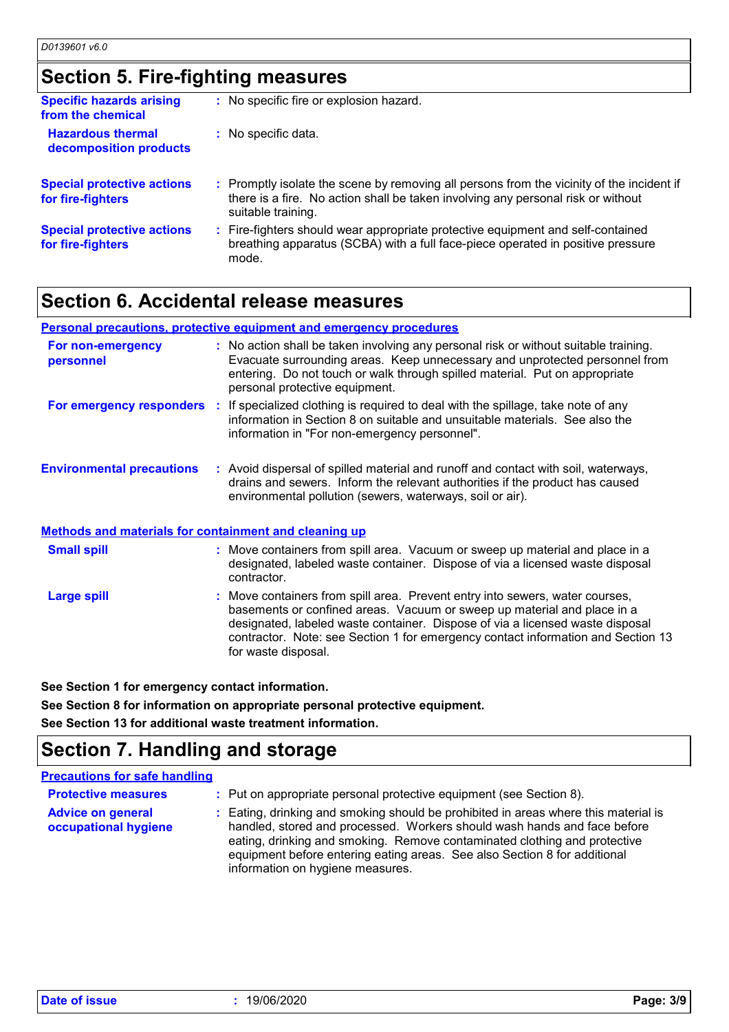### **Section 5. Fire-fighting measures**

| <b>Specific hazards arising</b><br>from the chemical   | : No specific fire or explosion hazard.                                                                                                                                                             |
|--------------------------------------------------------|-----------------------------------------------------------------------------------------------------------------------------------------------------------------------------------------------------|
| <b>Hazardous thermal</b><br>decomposition products     | : No specific data.                                                                                                                                                                                 |
| <b>Special protective actions</b><br>for fire-fighters | : Promptly isolate the scene by removing all persons from the vicinity of the incident if<br>there is a fire. No action shall be taken involving any personal risk or without<br>suitable training. |
| <b>Special protective actions</b><br>for fire-fighters | : Fire-fighters should wear appropriate protective equipment and self-contained<br>breathing apparatus (SCBA) with a full face-piece operated in positive pressure<br>mode.                         |

### **Section 6. Accidental release measures**

|                                                              | <b>Personal precautions, protective equipment and emergency procedures</b>                                                                                                                                                                                                                                                                          |
|--------------------------------------------------------------|-----------------------------------------------------------------------------------------------------------------------------------------------------------------------------------------------------------------------------------------------------------------------------------------------------------------------------------------------------|
| For non-emergency<br>personnel                               | : No action shall be taken involving any personal risk or without suitable training.<br>Evacuate surrounding areas. Keep unnecessary and unprotected personnel from<br>entering. Do not touch or walk through spilled material. Put on appropriate<br>personal protective equipment.                                                                |
|                                                              | <b>For emergency responders</b> : If specialized clothing is required to deal with the spillage, take note of any<br>information in Section 8 on suitable and unsuitable materials. See also the<br>information in "For non-emergency personnel".                                                                                                   |
| <b>Environmental precautions</b>                             | : Avoid dispersal of spilled material and runoff and contact with soil, waterways,<br>drains and sewers. Inform the relevant authorities if the product has caused<br>environmental pollution (sewers, waterways, soil or air).                                                                                                                     |
| <b>Methods and materials for containment and cleaning up</b> |                                                                                                                                                                                                                                                                                                                                                     |
| <b>Small spill</b>                                           | : Move containers from spill area. Vacuum or sweep up material and place in a<br>designated, labeled waste container. Dispose of via a licensed waste disposal<br>contractor.                                                                                                                                                                       |
| <b>Large spill</b>                                           | : Move containers from spill area. Prevent entry into sewers, water courses,<br>basements or confined areas. Vacuum or sweep up material and place in a<br>designated, labeled waste container. Dispose of via a licensed waste disposal<br>contractor. Note: see Section 1 for emergency contact information and Section 13<br>for waste disposal. |

**See Section 1 for emergency contact information.**

**See Section 8 for information on appropriate personal protective equipment.**

**See Section 13 for additional waste treatment information.**

### **Section 7. Handling and storage**

#### **Precautions for safe handling**

- **Protective measures : Put on appropriate personal protective equipment (see Section 8).**
- **Advice on general occupational hygiene** Eating, drinking and smoking should be prohibited in areas where this material is **:** handled, stored and processed. Workers should wash hands and face before eating, drinking and smoking. Remove contaminated clothing and protective equipment before entering eating areas. See also Section 8 for additional information on hygiene measures.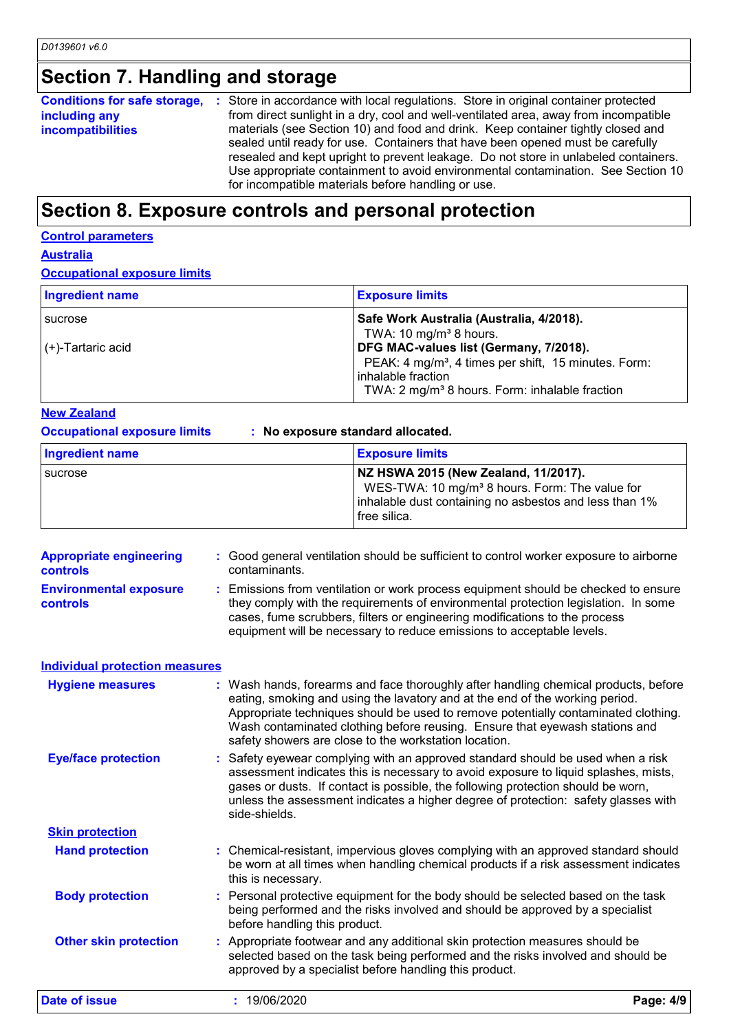### **Section 7. Handling and storage**

**Conditions for safe storage, :** Store in accordance with local regulations. Store in original container protected **including any incompatibilities** from direct sunlight in a dry, cool and well-ventilated area, away from incompatible materials (see Section 10) and food and drink. Keep container tightly closed and sealed until ready for use. Containers that have been opened must be carefully resealed and kept upright to prevent leakage. Do not store in unlabeled containers. Use appropriate containment to avoid environmental contamination. See Section 10 for incompatible materials before handling or use.

### **Section 8. Exposure controls and personal protection**

#### **Control parameters**

#### **Australia**

**Occupational exposure limits**

| <b>Ingredient name</b> | <b>Exposure limits</b>                                                                                     |
|------------------------|------------------------------------------------------------------------------------------------------------|
| I sucrose              | Safe Work Australia (Australia, 4/2018).<br>TWA: 10 mg/m <sup>3</sup> 8 hours.                             |
| (+)-Tartaric acid      | DFG MAC-values list (Germany, 7/2018).<br>PEAK: 4 mg/m <sup>3</sup> , 4 times per shift, 15 minutes. Form: |
|                        | inhalable fraction<br>TWA: 2 mg/m <sup>3</sup> 8 hours. Form: inhalable fraction                           |
|                        |                                                                                                            |

#### **New Zealand**

**Occupational exposure limits : No exposure standard allocated.**

| Ingredient name | <b>Exposure limits</b>                                                                                                                                                         |
|-----------------|--------------------------------------------------------------------------------------------------------------------------------------------------------------------------------|
| I sucrose       | NZ HSWA 2015 (New Zealand, 11/2017).<br>WES-TWA: 10 mg/m <sup>3</sup> 8 hours. Form: The value for<br>inhalable dust containing no asbestos and less than 1%<br>l free silica. |

| <b>Appropriate engineering</b><br><b>controls</b> | : Good general ventilation should be sufficient to control worker exposure to airborne<br>contaminants.                                                                                                                                                                                                                                                                                           |           |
|---------------------------------------------------|---------------------------------------------------------------------------------------------------------------------------------------------------------------------------------------------------------------------------------------------------------------------------------------------------------------------------------------------------------------------------------------------------|-----------|
| <b>Environmental exposure</b><br>controls         | Emissions from ventilation or work process equipment should be checked to ensure<br>they comply with the requirements of environmental protection legislation. In some<br>cases, fume scrubbers, filters or engineering modifications to the process<br>equipment will be necessary to reduce emissions to acceptable levels.                                                                     |           |
| <b>Individual protection measures</b>             |                                                                                                                                                                                                                                                                                                                                                                                                   |           |
| <b>Hygiene measures</b>                           | : Wash hands, forearms and face thoroughly after handling chemical products, before<br>eating, smoking and using the lavatory and at the end of the working period.<br>Appropriate techniques should be used to remove potentially contaminated clothing.<br>Wash contaminated clothing before reusing. Ensure that eyewash stations and<br>safety showers are close to the workstation location. |           |
| <b>Eye/face protection</b>                        | : Safety eyewear complying with an approved standard should be used when a risk<br>assessment indicates this is necessary to avoid exposure to liquid splashes, mists,<br>gases or dusts. If contact is possible, the following protection should be worn,<br>unless the assessment indicates a higher degree of protection: safety glasses with<br>side-shields.                                 |           |
| <b>Skin protection</b>                            |                                                                                                                                                                                                                                                                                                                                                                                                   |           |
| <b>Hand protection</b>                            | : Chemical-resistant, impervious gloves complying with an approved standard should<br>be worn at all times when handling chemical products if a risk assessment indicates<br>this is necessary.                                                                                                                                                                                                   |           |
| <b>Body protection</b>                            | Personal protective equipment for the body should be selected based on the task<br>being performed and the risks involved and should be approved by a specialist<br>before handling this product.                                                                                                                                                                                                 |           |
| <b>Other skin protection</b>                      | : Appropriate footwear and any additional skin protection measures should be<br>selected based on the task being performed and the risks involved and should be<br>approved by a specialist before handling this product.                                                                                                                                                                         |           |
| <b>Date of issue</b>                              | : 19/06/2020                                                                                                                                                                                                                                                                                                                                                                                      | Page: 4/9 |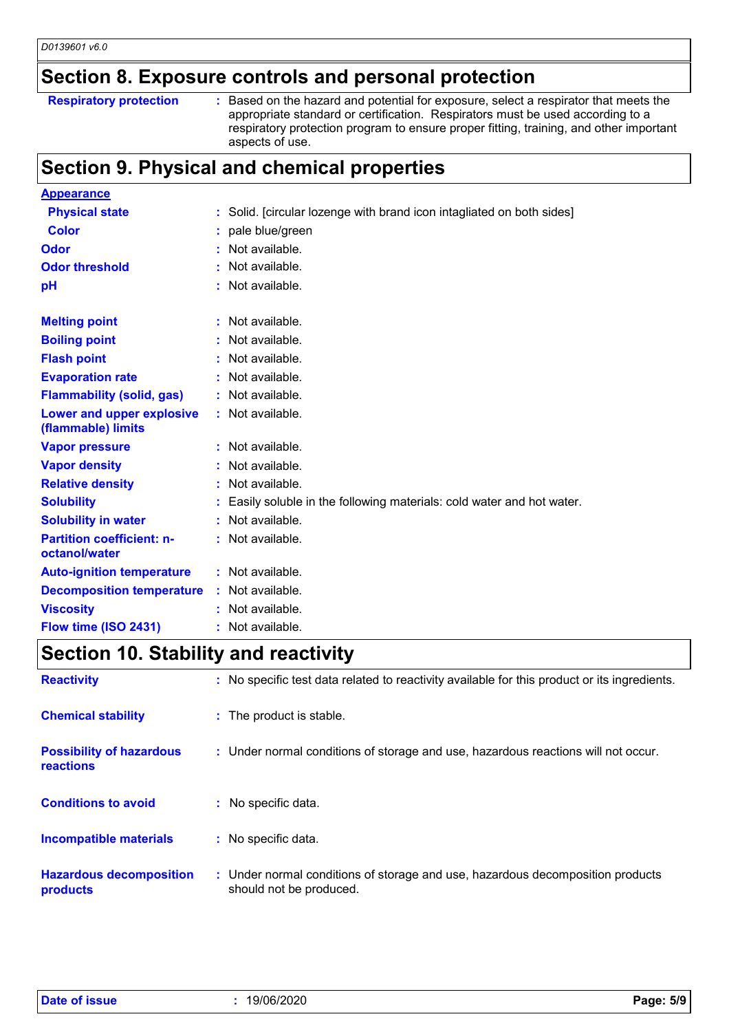### **Section 8. Exposure controls and personal protection**

| <b>Respiratory protection</b> |  |  |
|-------------------------------|--|--|
|-------------------------------|--|--|

**Respiratory protection** : Based on the hazard and potential for exposure, select a respirator that meets the appropriate standard or certification. Respirators must be used according to a respiratory protection program to ensure proper fitting, training, and other important aspects of use.

### **Section 9. Physical and chemical properties**

| <b>Appearance</b>                                 |                                                                       |
|---------------------------------------------------|-----------------------------------------------------------------------|
| <b>Physical state</b>                             | : Solid. [circular lozenge with brand icon intagliated on both sides] |
| <b>Color</b>                                      | : pale blue/green                                                     |
| Odor                                              | : Not available.                                                      |
| <b>Odor threshold</b>                             | : Not available.                                                      |
| рH                                                | : Not available.                                                      |
| <b>Melting point</b>                              | : Not available.                                                      |
| <b>Boiling point</b>                              | : Not available.                                                      |
| <b>Flash point</b>                                | : Not available.                                                      |
| <b>Evaporation rate</b>                           | : Not available.                                                      |
| <b>Flammability (solid, gas)</b>                  | : Not available.                                                      |
| Lower and upper explosive<br>(flammable) limits   | : Not available.                                                      |
| <b>Vapor pressure</b>                             | : Not available.                                                      |
| <b>Vapor density</b>                              | : Not available.                                                      |
| <b>Relative density</b>                           | : Not available.                                                      |
| <b>Solubility</b>                                 | Easily soluble in the following materials: cold water and hot water.  |
| <b>Solubility in water</b>                        | : Not available.                                                      |
| <b>Partition coefficient: n-</b><br>octanol/water | : Not available.                                                      |
| <b>Auto-ignition temperature</b>                  | : Not available.                                                      |
| <b>Decomposition temperature</b>                  | : Not available.                                                      |
| <b>Viscosity</b>                                  | : Not available.                                                      |
| Flow time (ISO 2431)                              | : Not available.                                                      |

### **Section 10. Stability and reactivity**

| <b>Reactivity</b>                                   | : No specific test data related to reactivity available for this product or its ingredients.              |
|-----------------------------------------------------|-----------------------------------------------------------------------------------------------------------|
| <b>Chemical stability</b>                           | : The product is stable.                                                                                  |
| <b>Possibility of hazardous</b><br><b>reactions</b> | : Under normal conditions of storage and use, hazardous reactions will not occur.                         |
| <b>Conditions to avoid</b>                          | : No specific data.                                                                                       |
| <b>Incompatible materials</b>                       | : No specific data.                                                                                       |
| <b>Hazardous decomposition</b><br>products          | : Under normal conditions of storage and use, hazardous decomposition products<br>should not be produced. |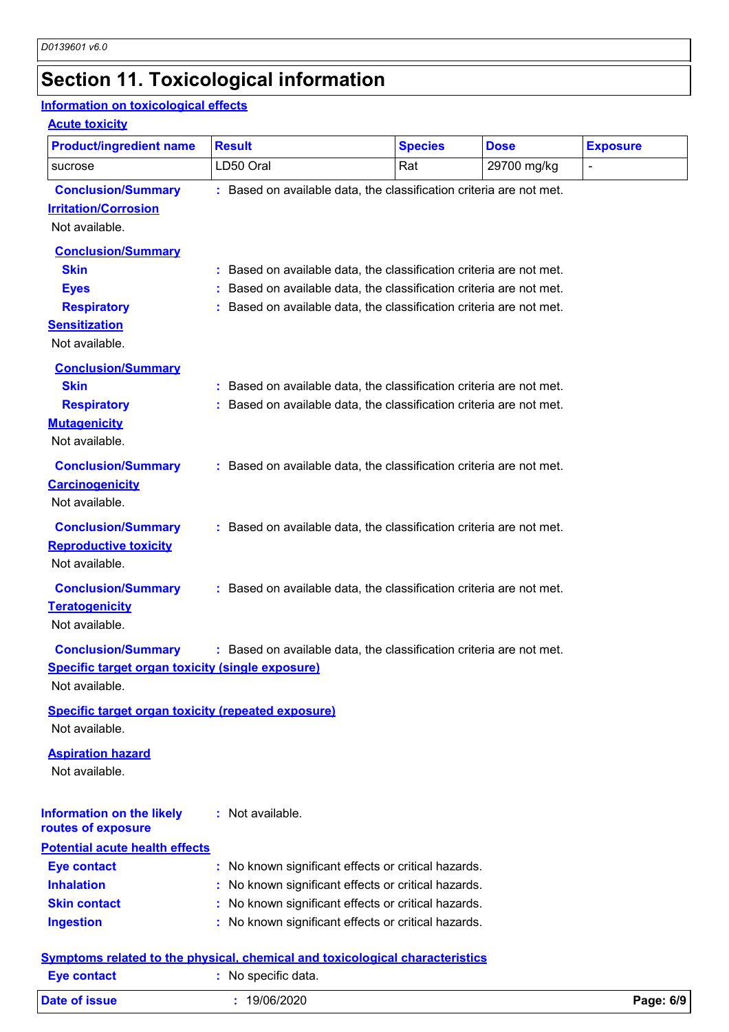# **Section 11. Toxicological information**

### **Information on toxicological effects**

#### **Acute toxicity**

| <b>Product/ingredient name</b>                                                                          | <b>Result</b>                                                                                                                                                                                                   | <b>Species</b> | <b>Dose</b> | <b>Exposure</b> |
|---------------------------------------------------------------------------------------------------------|-----------------------------------------------------------------------------------------------------------------------------------------------------------------------------------------------------------------|----------------|-------------|-----------------|
| sucrose                                                                                                 | LD50 Oral                                                                                                                                                                                                       | Rat            | 29700 mg/kg | $\blacksquare$  |
| <b>Conclusion/Summary</b><br><b>Irritation/Corrosion</b><br>Not available.<br><b>Conclusion/Summary</b> | : Based on available data, the classification criteria are not met.                                                                                                                                             |                |             |                 |
| <b>Skin</b><br><b>Eyes</b><br><b>Respiratory</b><br><b>Sensitization</b><br>Not available.              | : Based on available data, the classification criteria are not met.<br>Based on available data, the classification criteria are not met.<br>: Based on available data, the classification criteria are not met. |                |             |                 |
| <b>Conclusion/Summary</b><br><b>Skin</b><br><b>Respiratory</b><br><b>Mutagenicity</b><br>Not available. | : Based on available data, the classification criteria are not met.<br>: Based on available data, the classification criteria are not met.                                                                      |                |             |                 |
| <b>Conclusion/Summary</b><br><b>Carcinogenicity</b><br>Not available.                                   | : Based on available data, the classification criteria are not met.                                                                                                                                             |                |             |                 |
| <b>Conclusion/Summary</b><br><b>Reproductive toxicity</b><br>Not available.                             | : Based on available data, the classification criteria are not met.                                                                                                                                             |                |             |                 |
| <b>Conclusion/Summary</b><br><b>Teratogenicity</b><br>Not available.                                    | : Based on available data, the classification criteria are not met.                                                                                                                                             |                |             |                 |
| <b>Conclusion/Summary</b><br>Specific target organ toxicity (single exposure)<br>Not available.         | : Based on available data, the classification criteria are not met.                                                                                                                                             |                |             |                 |
| <b>Specific target organ toxicity (repeated exposure)</b><br>Not available.                             |                                                                                                                                                                                                                 |                |             |                 |
| <b>Aspiration hazard</b><br>Not available.                                                              |                                                                                                                                                                                                                 |                |             |                 |
| <b>Information on the likely</b><br>routes of exposure                                                  | : Not available.                                                                                                                                                                                                |                |             |                 |
| <b>Potential acute health effects</b>                                                                   |                                                                                                                                                                                                                 |                |             |                 |
| <b>Eye contact</b>                                                                                      | : No known significant effects or critical hazards.                                                                                                                                                             |                |             |                 |
| <b>Inhalation</b>                                                                                       | No known significant effects or critical hazards.                                                                                                                                                               |                |             |                 |
| <b>Skin contact</b><br><b>Ingestion</b>                                                                 | : No known significant effects or critical hazards.<br>: No known significant effects or critical hazards.                                                                                                      |                |             |                 |
|                                                                                                         |                                                                                                                                                                                                                 |                |             |                 |
|                                                                                                         | Symptoms related to the physical, chemical and toxicological characteristics                                                                                                                                    |                |             |                 |
| <b>Eye contact</b>                                                                                      | : No specific data.                                                                                                                                                                                             |                |             |                 |

| <b>Date of issue</b><br>. | 06/2020<br>$\mathbf{u}$<br>$\cdot$<br>$\sim$ $\sim$ $\sim$ $\sim$ $\sim$ | 6/9<br>Page: |
|---------------------------|--------------------------------------------------------------------------|--------------|
|                           |                                                                          |              |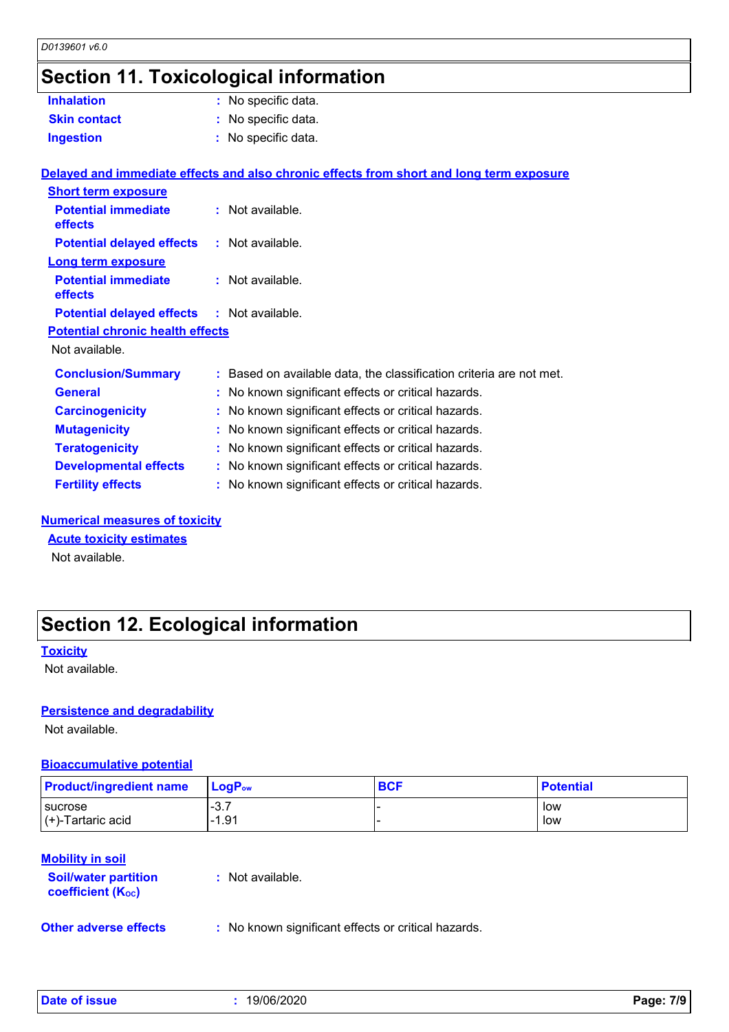# **Section 11. Toxicological information**

| <b>Inhalation</b>                                 | : No specific data.                                                                      |
|---------------------------------------------------|------------------------------------------------------------------------------------------|
| <b>Skin contact</b>                               | : No specific data.                                                                      |
| <b>Ingestion</b>                                  | : No specific data.                                                                      |
|                                                   |                                                                                          |
|                                                   | Delayed and immediate effects and also chronic effects from short and long term exposure |
| <b>Short term exposure</b>                        |                                                                                          |
| <b>Potential immediate</b>                        | : Not available.                                                                         |
| effects                                           |                                                                                          |
| <b>Potential delayed effects : Not available.</b> |                                                                                          |
| Long term exposure                                |                                                                                          |
| <b>Potential immediate</b>                        | $:$ Not available.                                                                       |
| effects                                           |                                                                                          |
| <b>Potential delayed effects : Not available.</b> |                                                                                          |
| <b>Potential chronic health effects</b>           |                                                                                          |
| Not available.                                    |                                                                                          |
| <b>Conclusion/Summary</b>                         | : Based on available data, the classification criteria are not met.                      |
| <b>General</b>                                    | : No known significant effects or critical hazards.                                      |
| <b>Carcinogenicity</b>                            | : No known significant effects or critical hazards.                                      |
| <b>Mutagenicity</b>                               | : No known significant effects or critical hazards.                                      |
| <b>Teratogenicity</b>                             | : No known significant effects or critical hazards.                                      |
| <b>Developmental effects</b>                      | : No known significant effects or critical hazards.                                      |
| <b>Fertility effects</b>                          | : No known significant effects or critical hazards.                                      |
|                                                   |                                                                                          |

#### **Numerical measures of toxicity**

**Acute toxicity estimates**

Not available.

## **Section 12. Ecological information**

#### **Toxicity**

Not available.

#### **Persistence and degradability**

Not available.

#### **Bioaccumulative potential**

| <b>Product/ingredient name</b> | $\blacksquare$ Loq $\mathsf{P}_\mathsf{ow}$ | <b>BCF</b> | <b>Potential</b> |
|--------------------------------|---------------------------------------------|------------|------------------|
| sucrose                        | $-3.7$                                      |            | low              |
| $\vert$ (+)-Tartaric acid      | $-1.91$                                     |            | low              |

#### **Mobility in soil**

| <b>Soil/water partition</b><br><b>coefficient (Koc)</b> | : Not available. |
|---------------------------------------------------------|------------------|
|                                                         |                  |

**Other adverse effects** : No known significant effects or critical hazards.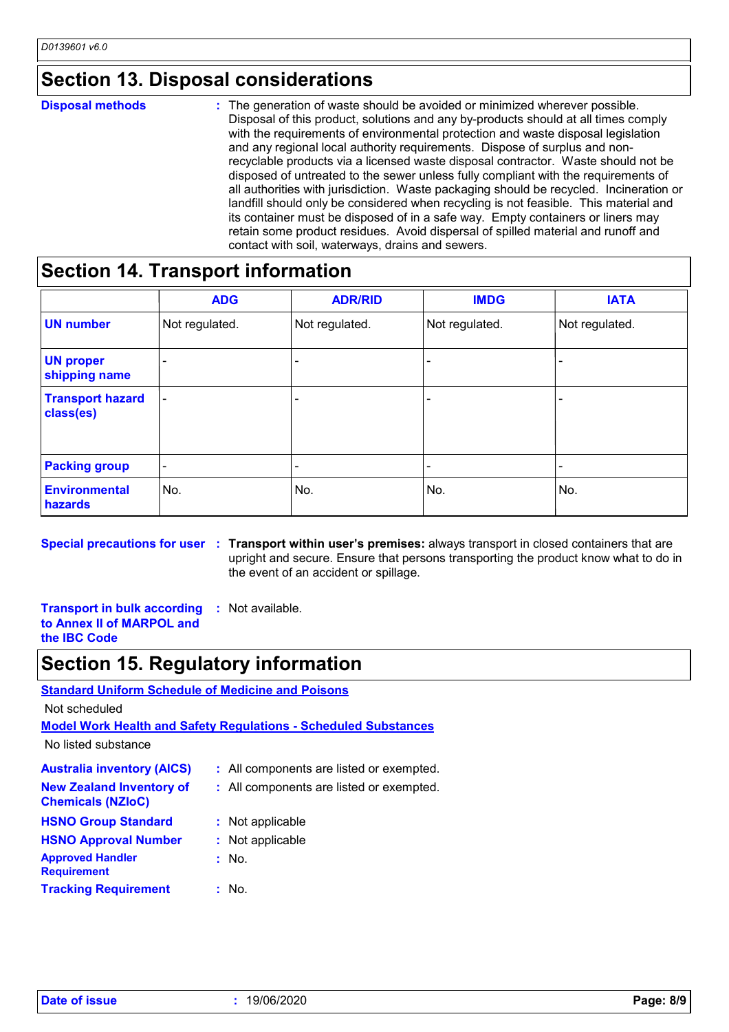### **Section 13. Disposal considerations**

The generation of waste should be avoided or minimized wherever possible. Disposal of this product, solutions and any by-products should at all times comply with the requirements of environmental protection and waste disposal legislation and any regional local authority requirements. Dispose of surplus and nonrecyclable products via a licensed waste disposal contractor. Waste should not be disposed of untreated to the sewer unless fully compliant with the requirements of all authorities with jurisdiction. Waste packaging should be recycled. Incineration or landfill should only be considered when recycling is not feasible. This material and its container must be disposed of in a safe way. Empty containers or liners may retain some product residues. Avoid dispersal of spilled material and runoff and contact with soil, waterways, drains and sewers. **Disposal methods :**

### **Section 14. Transport information**

|                                      | <b>ADG</b>               | <b>ADR/RID</b> | <b>IMDG</b>    | <b>IATA</b>    |
|--------------------------------------|--------------------------|----------------|----------------|----------------|
| <b>UN number</b>                     | Not regulated.           | Not regulated. | Not regulated. | Not regulated. |
| <b>UN proper</b><br>shipping name    |                          |                |                |                |
| <b>Transport hazard</b><br>class(es) | $\overline{\phantom{a}}$ |                | -              |                |
| <b>Packing group</b>                 | $\overline{\phantom{a}}$ |                | -              |                |
| <b>Environmental</b><br>hazards      | No.                      | No.            | No.            | No.            |

**Special precautions for user Transport within user's premises:** always transport in closed containers that are **:** upright and secure. Ensure that persons transporting the product know what to do in the event of an accident or spillage.

**Transport in bulk according to Annex II of MARPOL and the IBC Code :** Not available.

### **Section 15. Regulatory information**

**Standard Uniform Schedule of Medicine and Poisons**

Not scheduled

**Model Work Health and Safety Regulations - Scheduled Substances**

No listed substance

| <b>Australia inventory (AICS)</b>                           | : All components are listed or exempted. |
|-------------------------------------------------------------|------------------------------------------|
| <b>New Zealand Inventory of</b><br><b>Chemicals (NZIoC)</b> | : All components are listed or exempted. |
| <b>HSNO Group Standard</b>                                  | : Not applicable                         |
| <b>HSNO Approval Number</b>                                 | : Not applicable                         |
| <b>Approved Handler</b><br><b>Requirement</b>               | : No.                                    |
| <b>Tracking Requirement</b>                                 | : No.                                    |